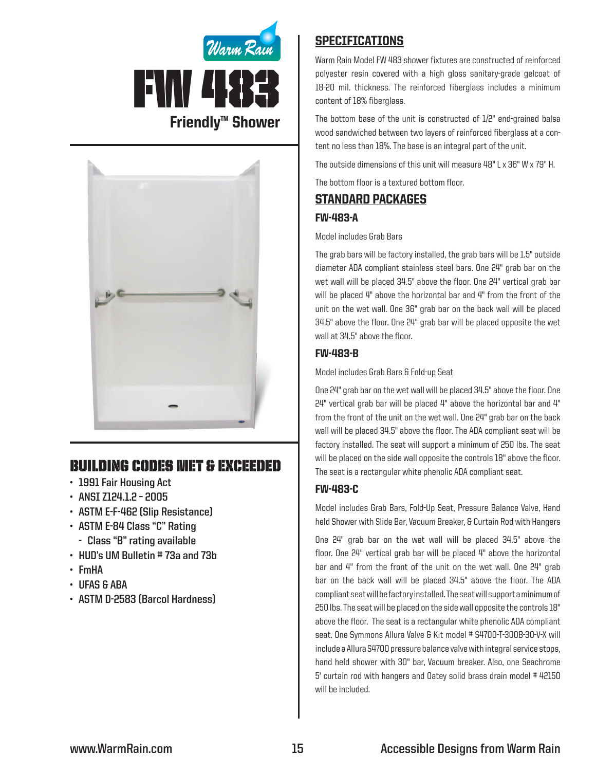



# Building Codes Met & EXCEEDED

- **• 1991 Fair Housing Act**
- **• ANSI Z124.1.2 – 2005**
- **• ASTM E-F-462 (Slip Resistance)**
- **• ASTM E-84 Class "C" Rating**
	- **- Class "B" rating available**
- **• HUD's UM Bulletin # 73a and 73b**
- **• FmHA**
- **• UFAS & ABA**
- **• ASTM D-2583 (Barcol Hardness)**

## **SPECIFICATIONS**

Warm Rain Model FW 483 shower fixtures are constructed of reinforced polyester resin covered with a high gloss sanitary-grade gelcoat of 18-20 mil. thickness. The reinforced fiberglass includes a minimum content of 18% fiberglass.

The bottom base of the unit is constructed of 1/2" end-grained balsa wood sandwiched between two layers of reinforced fiberglass at a content no less than 18%. The base is an integral part of the unit.

The outside dimensions of this unit will measure 48" L x 36" W x 79" H.

The bottom floor is a textured bottom floor.

### Standard packages

#### FW-483-A

#### Model includes Grab Bars

The grab bars will be factory installed, the grab bars will be 1.5" outside diameter ADA compliant stainless steel bars. One 24" grab bar on the wet wall will be placed 34.5" above the floor. One 24" vertical grab bar will be placed 4" above the horizontal bar and 4" from the front of the unit on the wet wall. One 36" grab bar on the back wall will be placed 34.5" above the floor. One 24" grab bar will be placed opposite the wet wall at 34.5" above the floor.

### FW-483-B

Model includes Grab Bars & Fold-up Seat

One 24" grab bar on the wet wall will be placed 34.5" above the floor. One  $24"$  vertical grab bar will be placed  $4"$  above the horizontal bar and  $4"$ from the front of the unit on the wet wall. One 24" grab bar on the back wall will be placed 34.5" above the floor. The ADA compliant seat will be factory installed. The seat will support a minimum of 250 lbs. The seat will be placed on the side wall opposite the controls 18" above the floor. The seat is a rectangular white phenolic ADA compliant seat.

### FW-483-C

Model includes Grab Bars, Fold-Up Seat, Pressure Balance Valve, Hand held Shower with Slide Bar, Vacuum Breaker, & Curtain Rod with Hangers

One 24" grab bar on the wet wall will be placed 34.5" above the floor. One 24" vertical grab bar will be placed 4" above the horizontal bar and 4" from the front of the unit on the wet wall. One 24" grab bar on the back wall will be placed 34.5" above the floor. The ADA compliant seat will be factory installed. The seat will support a minimum of 250 lbs. The seat will be placed on the side wall opposite the controls 18" above the floor. The seat is a rectangular white phenolic ADA compliant seat. One Symmons Allura Valve & Kit model # S4700-T-300B-30-V-X will include a Allura S4700 pressure balance valve with integral service stops, hand held shower with 30" bar, Vacuum breaker. Also, one Seachrome 5' curtain rod with hangers and Oatey solid brass drain model #42150 will be included.